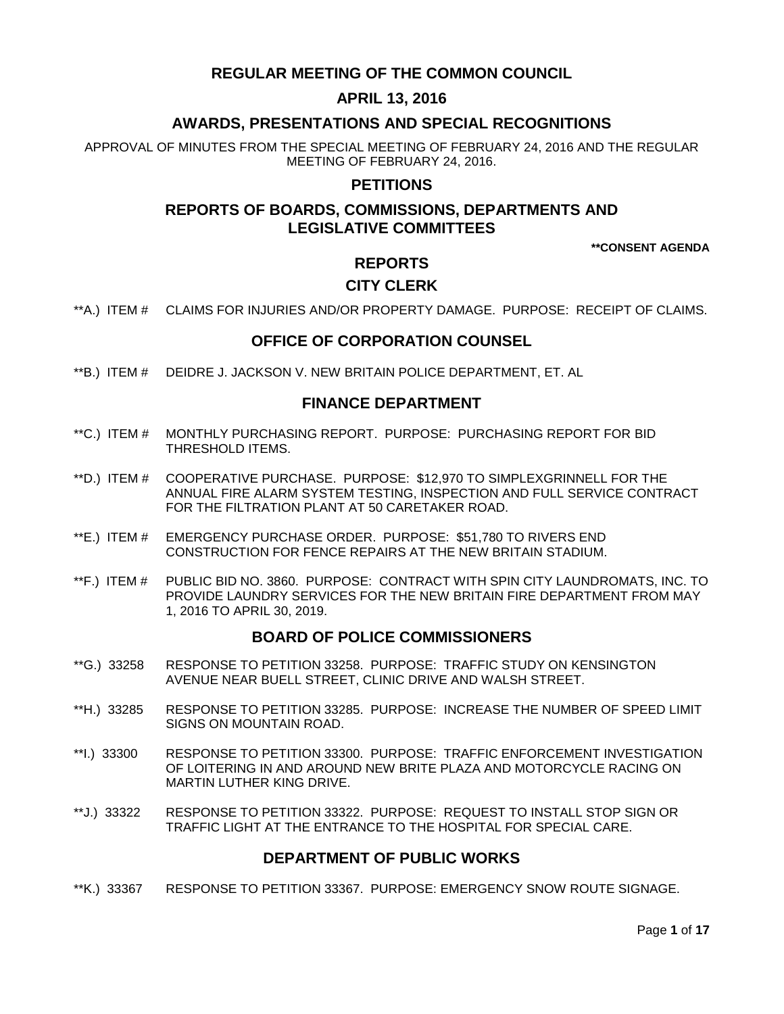# **REGULAR MEETING OF THE COMMON COUNCIL**

# **APRIL 13, 2016**

# **AWARDS, PRESENTATIONS AND SPECIAL RECOGNITIONS**

APPROVAL OF MINUTES FROM THE SPECIAL MEETING OF FEBRUARY 24, 2016 AND THE REGULAR MEETING OF FEBRUARY 24, 2016.

### **PETITIONS**

# **REPORTS OF BOARDS, COMMISSIONS, DEPARTMENTS AND LEGISLATIVE COMMITTEES**

**\*\*CONSENT AGENDA**

# **REPORTS**

# **CITY CLERK**

\*\*A.) ITEM # [CLAIMS FOR INJURIES AND/OR PROPERTY DAMAGE. PURPOSE: RECEIPT OF CLAIMS.](#page-3-0)

### **OFFICE OF CORPORATION COUNSEL**

\*\*B.) ITEM # [DEIDRE J. JACKSON V. NEW BRITAIN POLICE DEPARTMENT, ET. AL](#page-3-1)

### **FINANCE DEPARTMENT**

- \*\*C.) ITEM # [MONTHLY PURCHASING REPORT. PURPOSE: PURCHASING REPORT FOR BID](#page-3-2)  [THRESHOLD ITEMS.](#page-3-2)
- \*\*D.) ITEM # [COOPERATIVE PURCHASE. PURPOSE: \\$12,970 TO SIMPLEXGRINNELL FOR THE](#page-4-0)  [ANNUAL FIRE ALARM SYSTEM TESTING, INSPECTION AND FULL SERVICE CONTRACT](#page-4-0)  [FOR THE FILTRATION PLANT AT 50 CARETAKER ROAD.](#page-4-0)
- \*\*E.) ITEM # [EMERGENCY PURCHASE ORDER. PURPOSE: \\$51,780 TO RIVERS END](#page-5-0)  [CONSTRUCTION FOR FENCE REPAIRS AT THE NEW BRITAIN STADIUM.](#page-5-0)
- \*\*F.) ITEM # [PUBLIC BID NO. 3860. PURPOSE: CONTRACT WITH SPIN CITY LAUNDROMATS, INC. TO](#page-5-1)  [PROVIDE LAUNDRY SERVICES FOR THE NEW BRITAIN FIRE DEPARTMENT FROM MAY](#page-5-1)  [1, 2016 TO APRIL 30, 2019.](#page-5-1)

### **BOARD OF POLICE COMMISSIONERS**

- \*\*G.) 33258 [RESPONSE TO PETITION 33258. PURPOSE: TRAFFIC STUDY ON KENSINGTON](#page-6-0)  [AVENUE NEAR BUELL STREET, CLINIC DRIVE AND WALSH STREET.](#page-6-0)
- \*\*H.) 33285 [RESPONSE TO PETITION 33285. PURPOSE: INCREASE THE NUMBER OF SPEED LIMIT](#page-6-1)  [SIGNS ON MOUNTAIN ROAD.](#page-6-1)
- \*\*I.) 33300 [RESPONSE TO PETITION 33300. PURPOSE: TRAFFIC ENFORCEMENT INVESTIGATION](#page-7-0)  [OF LOITERING IN AND AROUND NEW BRITE PLAZA AND MOTORCYCLE RACING ON](#page-7-0)  [MARTIN LUTHER KING DRIVE.](#page-7-0)
- \*\*J.) 33322 [RESPONSE TO PETITION 33322. PURPOSE: REQUEST TO INSTALL STOP SIGN OR](#page-7-1)  [TRAFFIC LIGHT AT THE ENTRANCE TO THE HOSPITAL FOR SPECIAL CARE.](#page-7-1)

### **DEPARTMENT OF PUBLIC WORKS**

\*\*K.) 33367 [RESPONSE TO PETITION 33367. PURPOSE: EMERGENCY SNOW ROUTE SIGNAGE.](#page-8-0)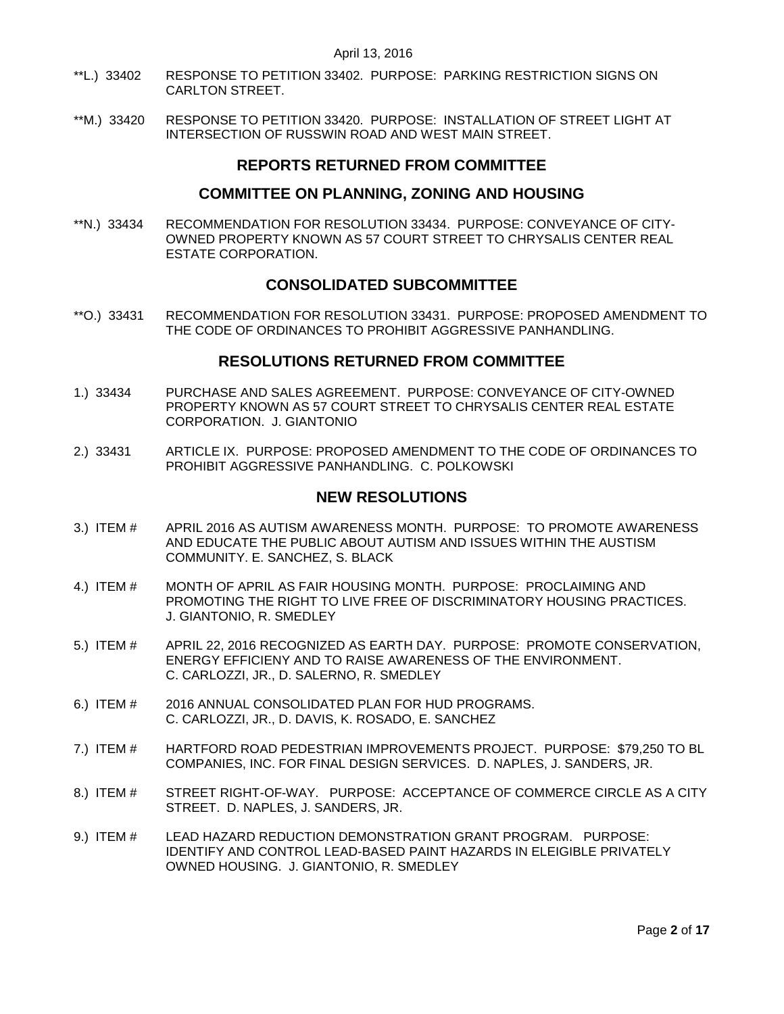- \*\*L.) 33402 [RESPONSE TO PETITION 33402. PURPOSE: PARKING RESTRICTION SIGNS ON](#page-8-1)  [CARLTON STREET.](#page-8-1)
- \*\*M.) 33420 [RESPONSE TO PETITION 33420. PURPOSE: INSTALLATION OF STREET LIGHT AT](#page-8-2)  [INTERSECTION OF RUSSWIN ROAD AND WEST MAIN STREET.](#page-8-2)

## **REPORTS RETURNED FROM COMMITTEE**

### **COMMITTEE ON PLANNING, ZONING AND HOUSING**

\*\*N.) 33434 [RECOMMENDATION FOR RESOLUTION 33434. PURPOSE: CONVEYANCE OF CITY-](#page-8-3)[OWNED PROPERTY KNOWN AS 57 COURT STREET TO CHRYSALIS CENTER REAL](#page-8-3)  [ESTATE CORPORATION.](#page-8-3) 

## **CONSOLIDATED SUBCOMMITTEE**

\*\*O.) 33431 [RECOMMENDATION FOR RESOLUTION 33431. PURPOSE: PROPOSED AMENDMENT TO](#page-9-0)  [THE CODE OF ORDINANCES TO PROHIBIT AGGRESSIVE PANHANDLING.](#page-9-0)

### **RESOLUTIONS RETURNED FROM COMMITTEE**

- 1.) 33434 [PURCHASE AND SALES AGREEMENT. PURPOSE: CONVEYANCE OF CITY-OWNED](#page-9-1)  [PROPERTY KNOWN AS 57 COURT STREET TO CHRYSALIS CENTER REAL ESTATE](#page-9-1)  [CORPORATION. J. GIANTONIO](#page-9-1)
- 2.) 33431 [ARTICLE IX. PURPOSE: PROPOSED AMENDMENT TO THE CODE OF ORDINANCES TO](#page-10-0)  [PROHIBIT AGGRESSIVE PANHANDLING. C. POLKOWSKI](#page-10-0)

### **NEW RESOLUTIONS**

- 3.) ITEM # APRIL 2016 [AS AUTISM AWARENESS MONTH. PURPOSE: TO](#page-10-1) PROMOTE AWARENESS [AND EDUCATE THE PUBLIC ABOUT AUTISM AND ISSUES WITHIN THE AUSTISM](#page-10-1)  [COMMUNITY. E. SANCHEZ, S. BLACK](#page-10-1)
- 4.) ITEM # [MONTH OF APRIL AS FAIR HOUSING MONTH. PURPOSE: PROCLAIMING AND](#page-10-2)  [PROMOTING THE RIGHT TO LIVE FREE OF DISCRIMINATORY HOUSING PRACTICES.](#page-10-2)  [J. GIANTONIO, R. SMEDLEY](#page-10-2)
- 5.) ITEM # APRIL 22, 2016 RECOGNIZED [AS EARTH DAY. PURPOSE: PROMOTE CONSERVATION,](#page-11-0)  [ENERGY EFFICIENY AND TO RAISE AWARENESS OF THE ENVIRONMENT.](#page-11-0)  [C. CARLOZZI, JR., D. SALERNO, R. SMEDLEY](#page-11-0)
- 6.) ITEM # [2016 ANNUAL CONSOLIDATED PLAN FOR HUD PROGRAMS.](#page-12-0)  [C. CARLOZZI, JR., D. DAVIS, K. ROSADO, E. SANCHEZ](#page-12-0)
- 7.) ITEM # [HARTFORD ROAD PEDESTRIAN IMPROVEMENTS PROJECT. PURPOSE: \\$79,250 TO BL](#page-12-1)  [COMPANIES, INC. FOR FINAL DESIGN SERVICES. D. NAPLES, J. SANDERS, JR.](#page-12-1)
- 8.) ITEM # [STREET RIGHT-OF-WAY. PURPOSE: ACCEPTANCE OF COMMERCE CIRCLE AS A CITY](#page-13-0)  [STREET. D. NAPLES, J. SANDERS, JR.](#page-13-0)
- 9.) ITEM # [LEAD HAZARD REDUCTION DEMONSTRATION GRANT PROGRAM. PURPOSE:](#page-14-0)  [IDENTIFY AND CONTROL LEAD-BASED PAINT HAZARDS IN ELEIGIBLE PRIVATELY](#page-14-0)  [OWNED HOUSING. J. GIANTONIO, R. SMEDLEY](#page-14-0)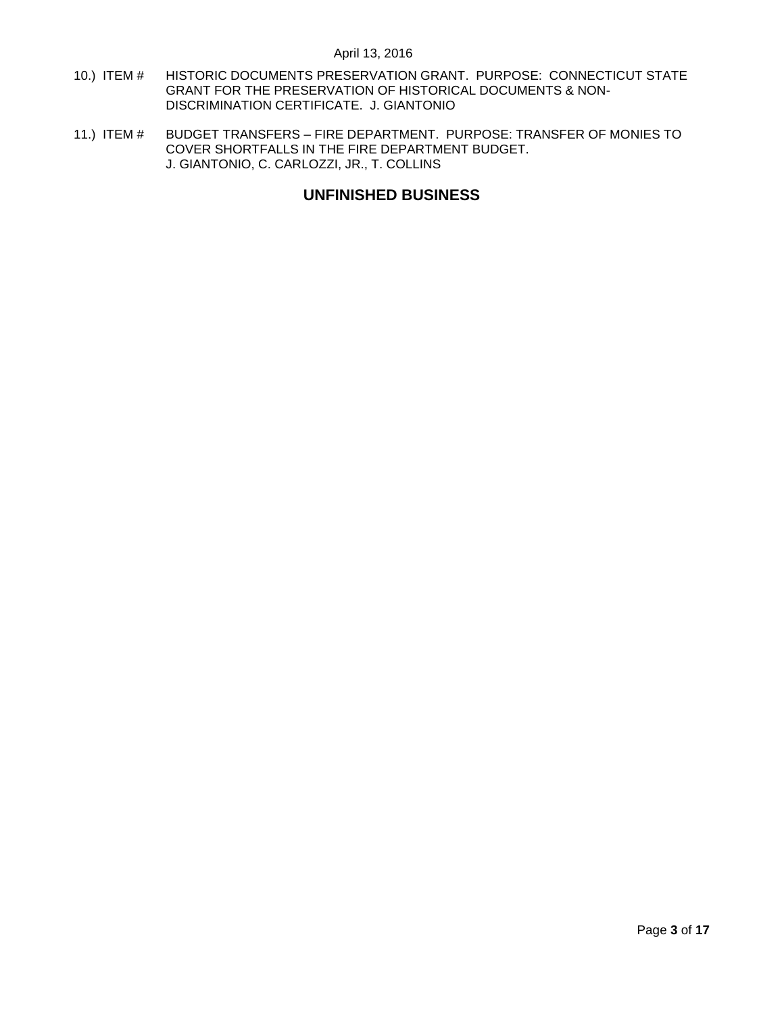- 10.) ITEM # HISTORIC [DOCUMENTS PRESERVATION GRANT. PURPOSE: CONNECTICUT STATE](#page-14-1)  [GRANT FOR THE PRESERVATION OF HISTORICAL DOCUMENTS & NON-](#page-14-1)[DISCRIMINATION CERTIFICATE. J. GIANTONIO](#page-14-1)
- 11.) ITEM # BUDGET TRANSFERS [FIRE DEPARTMENT. PURPOSE: TRANSFER OF MONIES TO](#page-15-0)  [COVER SHORTFALLS IN THE FIRE DEPARTMENT BUDGET.](#page-15-0)  [J. GIANTONIO, C. CARLOZZI, JR., T. COLLINS](#page-15-0)

# **UNFINISHED BUSINESS**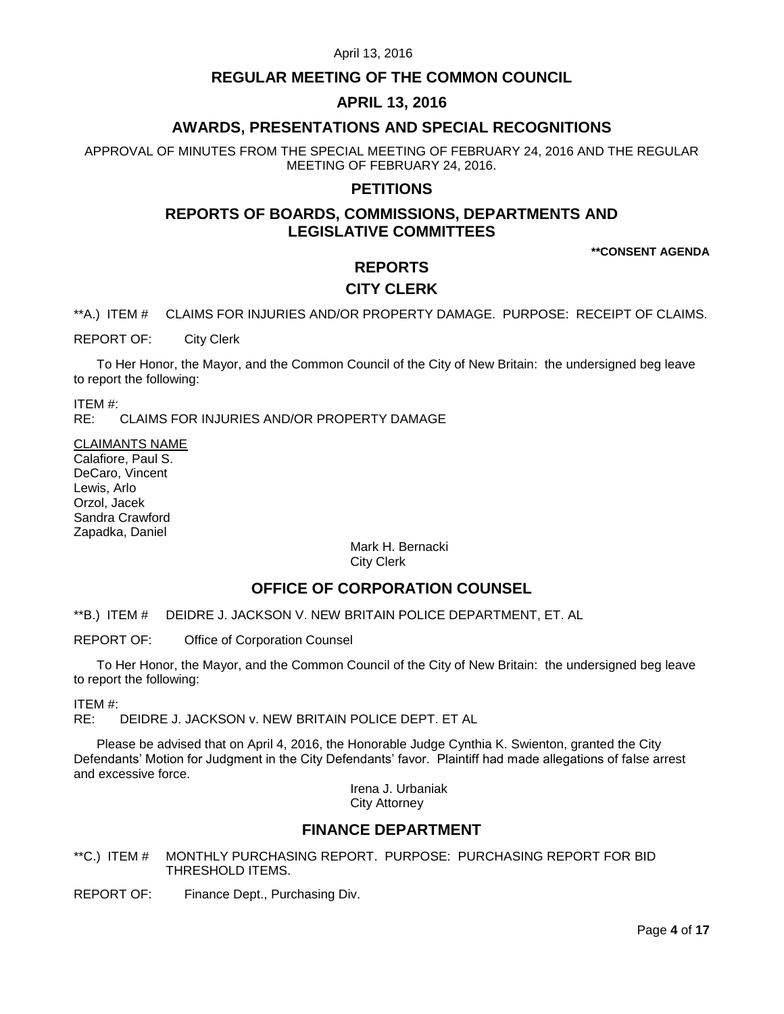# **REGULAR MEETING OF THE COMMON COUNCIL**

# **APRIL 13, 2016**

# **AWARDS, PRESENTATIONS AND SPECIAL RECOGNITIONS**

APPROVAL OF MINUTES FROM THE SPECIAL MEETING OF FEBRUARY 24, 2016 AND THE REGULAR MEETING OF FEBRUARY 24, 2016.

### **PETITIONS**

# **REPORTS OF BOARDS, COMMISSIONS, DEPARTMENTS AND LEGISLATIVE COMMITTEES**

**\*\*CONSENT AGENDA**

### **REPORTS**

# **CITY CLERK**

<span id="page-3-0"></span>\*\*A.) ITEM # CLAIMS FOR INJURIES AND/OR PROPERTY DAMAGE. PURPOSE: RECEIPT OF CLAIMS.

REPORT OF: City Clerk

To Her Honor, the Mayor, and the Common Council of the City of New Britain: the undersigned beg leave to report the following:

ITEM #:

RE: CLAIMS FOR INJURIES AND/OR PROPERTY DAMAGE

CLAIMANTS NAME Calafiore, Paul S. DeCaro, Vincent Lewis, Arlo Orzol, Jacek Sandra Crawford Zapadka, Daniel

> Mark H. Bernacki City Clerk

### **OFFICE OF CORPORATION COUNSEL**

<span id="page-3-1"></span>\*\*B.) ITEM # DEIDRE J. JACKSON V. NEW BRITAIN POLICE DEPARTMENT, ET. AL

REPORT OF: Office of Corporation Counsel

To Her Honor, the Mayor, and the Common Council of the City of New Britain: the undersigned beg leave to report the following:

ITEM #:

RE: DEIDRE J. JACKSON v. NEW BRITAIN POLICE DEPT. ET AL

Please be advised that on April 4, 2016, the Honorable Judge Cynthia K. Swienton, granted the City Defendants' Motion for Judgment in the City Defendants' favor. Plaintiff had made allegations of false arrest and excessive force.

Irena J. Urbaniak City Attorney

### **FINANCE DEPARTMENT**

<span id="page-3-2"></span>\*\*C.) ITEM # MONTHLY PURCHASING REPORT. PURPOSE: PURCHASING REPORT FOR BID THRESHOLD ITEMS.

REPORT OF: Finance Dept., Purchasing Div.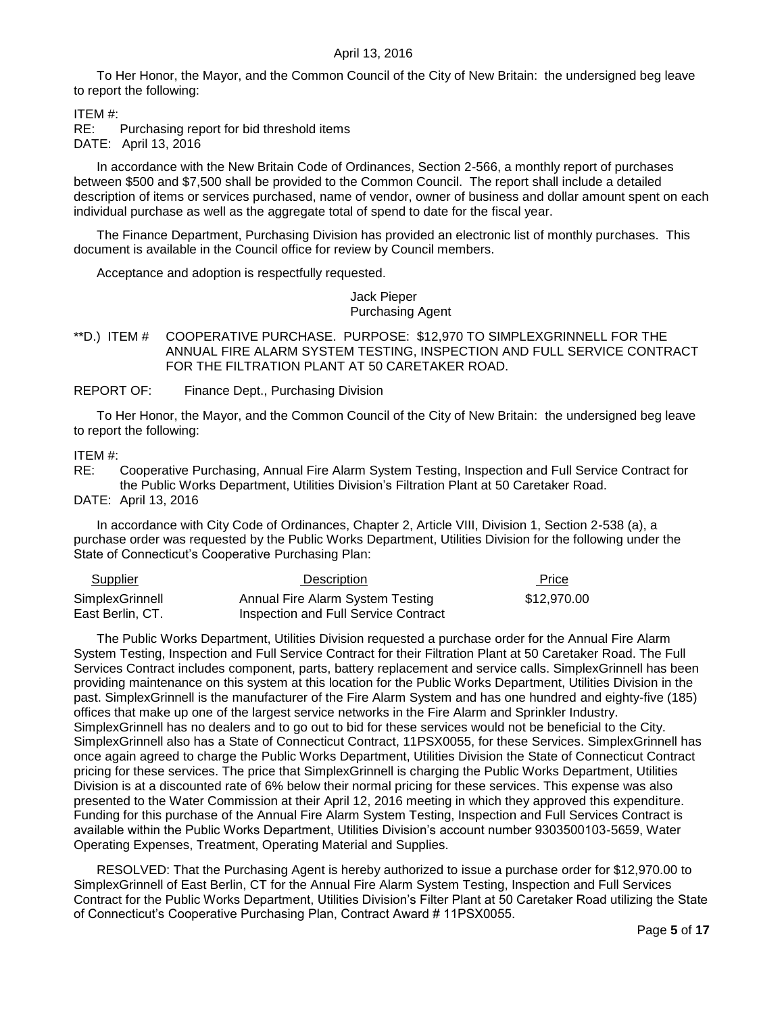To Her Honor, the Mayor, and the Common Council of the City of New Britain: the undersigned beg leave to report the following:

ITEM #:

RE: Purchasing report for bid threshold items DATE: April 13, 2016

In accordance with the New Britain Code of Ordinances, Section 2-566, a monthly report of purchases between \$500 and \$7,500 shall be provided to the Common Council. The report shall include a detailed description of items or services purchased, name of vendor, owner of business and dollar amount spent on each individual purchase as well as the aggregate total of spend to date for the fiscal year.

The Finance Department, Purchasing Division has provided an electronic list of monthly purchases. This document is available in the Council office for review by Council members.

Acceptance and adoption is respectfully requested.

Jack Pieper Purchasing Agent

<span id="page-4-0"></span>\*\*D.) ITEM # COOPERATIVE PURCHASE. PURPOSE: \$12,970 TO SIMPLEXGRINNELL FOR THE ANNUAL FIRE ALARM SYSTEM TESTING, INSPECTION AND FULL SERVICE CONTRACT FOR THE FILTRATION PLANT AT 50 CARETAKER ROAD.

REPORT OF: Finance Dept., Purchasing Division

To Her Honor, the Mayor, and the Common Council of the City of New Britain: the undersigned beg leave to report the following:

ITEM #:

RE: Cooperative Purchasing, Annual Fire Alarm System Testing, Inspection and Full Service Contract for the Public Works Department, Utilities Division's Filtration Plant at 50 Caretaker Road.

DATE: April 13, 2016

In accordance with City Code of Ordinances, Chapter 2, Article VIII, Division 1, Section 2-538 (a), a purchase order was requested by the Public Works Department, Utilities Division for the following under the State of Connecticut's Cooperative Purchasing Plan:

| Supplier         | Description                          | Price       |
|------------------|--------------------------------------|-------------|
| SimplexGrinnell  | Annual Fire Alarm System Testing     | \$12.970.00 |
| East Berlin, CT. | Inspection and Full Service Contract |             |

The Public Works Department, Utilities Division requested a purchase order for the Annual Fire Alarm System Testing, Inspection and Full Service Contract for their Filtration Plant at 50 Caretaker Road. The Full Services Contract includes component, parts, battery replacement and service calls. SimplexGrinnell has been providing maintenance on this system at this location for the Public Works Department, Utilities Division in the past. SimplexGrinnell is the manufacturer of the Fire Alarm System and has one hundred and eighty-five (185) offices that make up one of the largest service networks in the Fire Alarm and Sprinkler Industry. SimplexGrinnell has no dealers and to go out to bid for these services would not be beneficial to the City. SimplexGrinnell also has a State of Connecticut Contract, 11PSX0055, for these Services. SimplexGrinnell has once again agreed to charge the Public Works Department, Utilities Division the State of Connecticut Contract pricing for these services. The price that SimplexGrinnell is charging the Public Works Department, Utilities Division is at a discounted rate of 6% below their normal pricing for these services. This expense was also presented to the Water Commission at their April 12, 2016 meeting in which they approved this expenditure. Funding for this purchase of the Annual Fire Alarm System Testing, Inspection and Full Services Contract is available within the Public Works Department, Utilities Division's account number 9303500103-5659, Water Operating Expenses, Treatment, Operating Material and Supplies.

RESOLVED: That the Purchasing Agent is hereby authorized to issue a purchase order for \$12,970.00 to SimplexGrinnell of East Berlin, CT for the Annual Fire Alarm System Testing, Inspection and Full Services Contract for the Public Works Department, Utilities Division's Filter Plant at 50 Caretaker Road utilizing the State of Connecticut's Cooperative Purchasing Plan, Contract Award # 11PSX0055.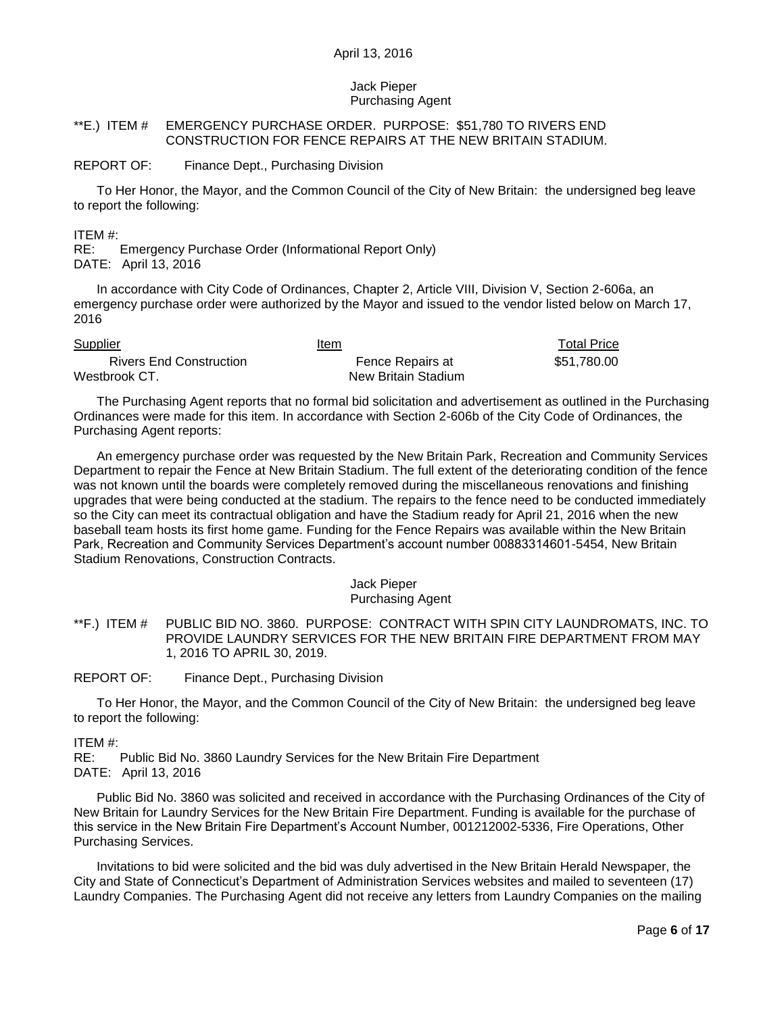### Jack Pieper Purchasing Agent

### <span id="page-5-0"></span>\*\*E.) ITEM # EMERGENCY PURCHASE ORDER. PURPOSE: \$51,780 TO RIVERS END CONSTRUCTION FOR FENCE REPAIRS AT THE NEW BRITAIN STADIUM.

#### REPORT OF: Finance Dept., Purchasing Division

To Her Honor, the Mayor, and the Common Council of the City of New Britain: the undersigned beg leave to report the following:

ITEM #:

RE: Emergency Purchase Order (Informational Report Only) DATE: April 13, 2016

In accordance with City Code of Ordinances, Chapter 2, Article VIII, Division V, Section 2-606a, an emergency purchase order were authorized by the Mayor and issued to the vendor listed below on March 17, 2016

| <b>Supplier</b>                | Item                | <b>Total Price</b> |
|--------------------------------|---------------------|--------------------|
| <b>Rivers End Construction</b> | Fence Repairs at    | \$51.780.00        |
| Westbrook CT.                  | New Britain Stadium |                    |

The Purchasing Agent reports that no formal bid solicitation and advertisement as outlined in the Purchasing Ordinances were made for this item. In accordance with Section 2-606b of the City Code of Ordinances, the Purchasing Agent reports:

An emergency purchase order was requested by the New Britain Park, Recreation and Community Services Department to repair the Fence at New Britain Stadium. The full extent of the deteriorating condition of the fence was not known until the boards were completely removed during the miscellaneous renovations and finishing upgrades that were being conducted at the stadium. The repairs to the fence need to be conducted immediately so the City can meet its contractual obligation and have the Stadium ready for April 21, 2016 when the new baseball team hosts its first home game. Funding for the Fence Repairs was available within the New Britain Park, Recreation and Community Services Department's account number 00883314601-5454, New Britain Stadium Renovations, Construction Contracts.

#### Jack Pieper Purchasing Agent

<span id="page-5-1"></span>\*\*F.) ITEM # PUBLIC BID NO. 3860. PURPOSE: CONTRACT WITH SPIN CITY LAUNDROMATS, INC. TO PROVIDE LAUNDRY SERVICES FOR THE NEW BRITAIN FIRE DEPARTMENT FROM MAY 1, 2016 TO APRIL 30, 2019.

REPORT OF: Finance Dept., Purchasing Division

To Her Honor, the Mayor, and the Common Council of the City of New Britain: the undersigned beg leave to report the following:

ITEM #:

RE: Public Bid No. 3860 Laundry Services for the New Britain Fire Department DATE: April 13, 2016

Public Bid No. 3860 was solicited and received in accordance with the Purchasing Ordinances of the City of New Britain for Laundry Services for the New Britain Fire Department. Funding is available for the purchase of this service in the New Britain Fire Department's Account Number, 001212002-5336, Fire Operations, Other Purchasing Services.

Invitations to bid were solicited and the bid was duly advertised in the New Britain Herald Newspaper, the City and State of Connecticut's Department of Administration Services websites and mailed to seventeen (17) Laundry Companies. The Purchasing Agent did not receive any letters from Laundry Companies on the mailing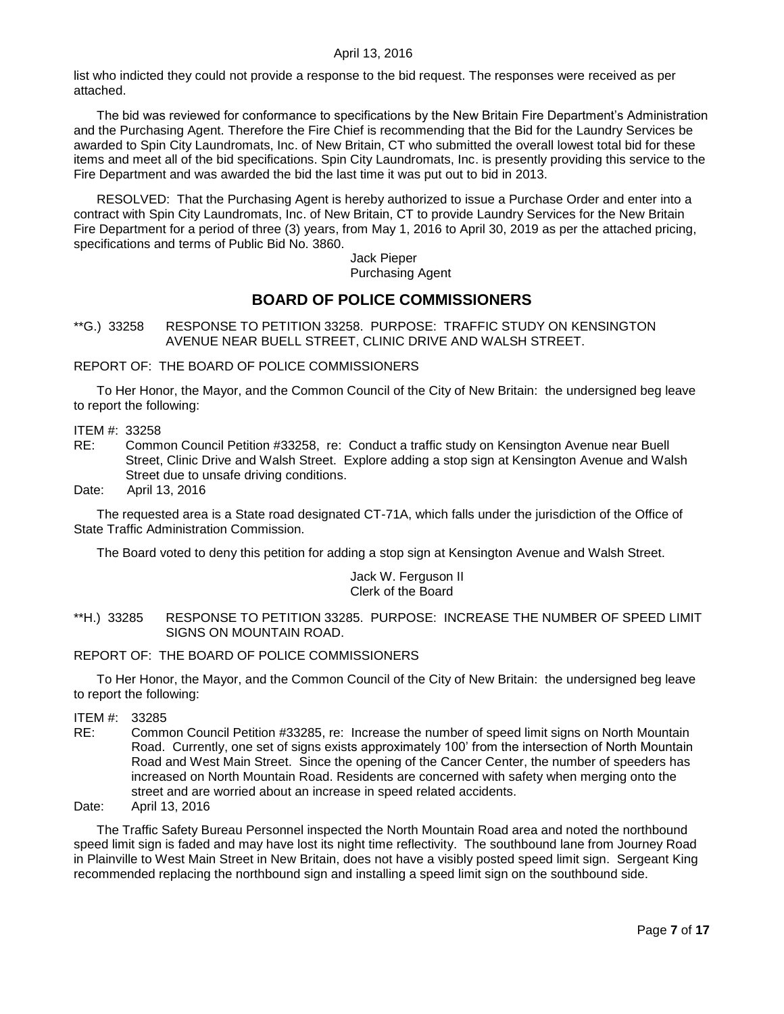list who indicted they could not provide a response to the bid request. The responses were received as per attached.

The bid was reviewed for conformance to specifications by the New Britain Fire Department's Administration and the Purchasing Agent. Therefore the Fire Chief is recommending that the Bid for the Laundry Services be awarded to Spin City Laundromats, Inc. of New Britain, CT who submitted the overall lowest total bid for these items and meet all of the bid specifications. Spin City Laundromats, Inc. is presently providing this service to the Fire Department and was awarded the bid the last time it was put out to bid in 2013.

RESOLVED: That the Purchasing Agent is hereby authorized to issue a Purchase Order and enter into a contract with Spin City Laundromats, Inc. of New Britain, CT to provide Laundry Services for the New Britain Fire Department for a period of three (3) years, from May 1, 2016 to April 30, 2019 as per the attached pricing, specifications and terms of Public Bid No. 3860.

> Jack Pieper Purchasing Agent

# **BOARD OF POLICE COMMISSIONERS**

<span id="page-6-0"></span>\*\*G.) 33258 RESPONSE TO PETITION 33258. PURPOSE: TRAFFIC STUDY ON KENSINGTON AVENUE NEAR BUELL STREET, CLINIC DRIVE AND WALSH STREET.

REPORT OF: THE BOARD OF POLICE COMMISSIONERS

To Her Honor, the Mayor, and the Common Council of the City of New Britain: the undersigned beg leave to report the following:

ITEM #: 33258

RE: Common Council Petition #33258, re: Conduct a traffic study on Kensington Avenue near Buell Street, Clinic Drive and Walsh Street. Explore adding a stop sign at Kensington Avenue and Walsh Street due to unsafe driving conditions.

Date: April 13, 2016

The requested area is a State road designated CT-71A, which falls under the jurisdiction of the Office of State Traffic Administration Commission.

The Board voted to deny this petition for adding a stop sign at Kensington Avenue and Walsh Street.

#### Jack W. Ferguson II Clerk of the Board

### <span id="page-6-1"></span>\*\*H.) 33285 RESPONSE TO PETITION 33285. PURPOSE: INCREASE THE NUMBER OF SPEED LIMIT SIGNS ON MOUNTAIN ROAD.

REPORT OF: THE BOARD OF POLICE COMMISSIONERS

To Her Honor, the Mayor, and the Common Council of the City of New Britain: the undersigned beg leave to report the following:

- ITEM #: 33285
- RE: Common Council Petition #33285, re: Increase the number of speed limit signs on North Mountain Road. Currently, one set of signs exists approximately 100' from the intersection of North Mountain Road and West Main Street. Since the opening of the Cancer Center, the number of speeders has increased on North Mountain Road. Residents are concerned with safety when merging onto the street and are worried about an increase in speed related accidents.

Date: April 13, 2016

The Traffic Safety Bureau Personnel inspected the North Mountain Road area and noted the northbound speed limit sign is faded and may have lost its night time reflectivity. The southbound lane from Journey Road in Plainville to West Main Street in New Britain, does not have a visibly posted speed limit sign. Sergeant King recommended replacing the northbound sign and installing a speed limit sign on the southbound side.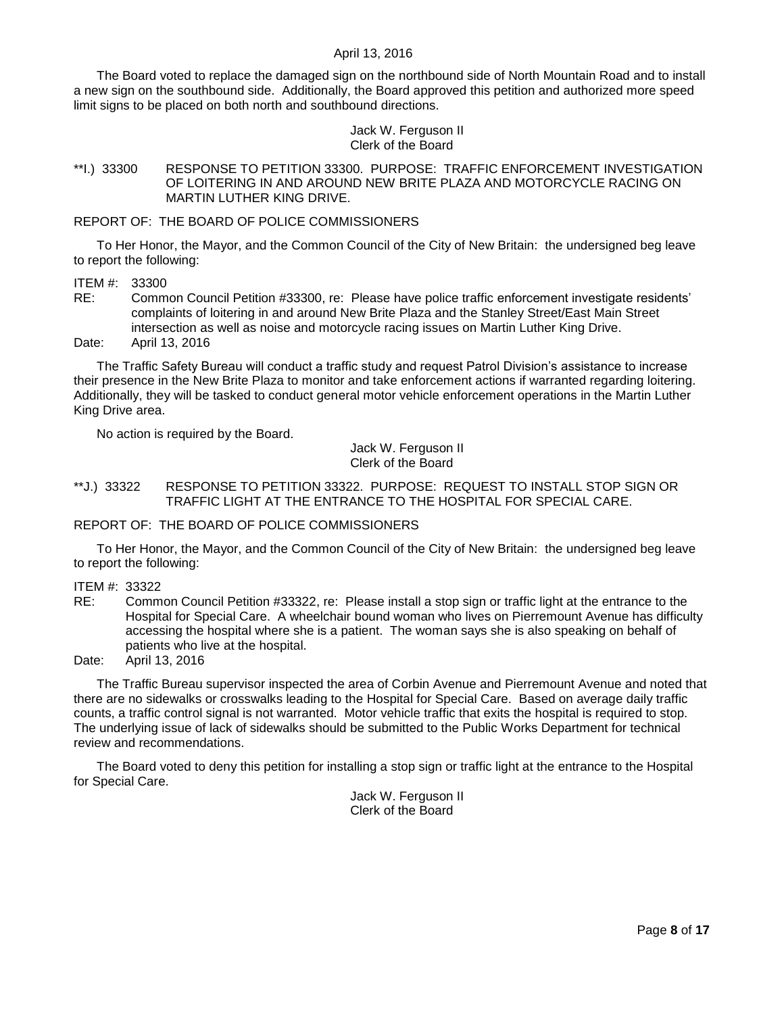The Board voted to replace the damaged sign on the northbound side of North Mountain Road and to install a new sign on the southbound side. Additionally, the Board approved this petition and authorized more speed limit signs to be placed on both north and southbound directions.

#### Jack W. Ferguson II Clerk of the Board

<span id="page-7-0"></span>\*\*I.) 33300 RESPONSE TO PETITION 33300. PURPOSE: TRAFFIC ENFORCEMENT INVESTIGATION OF LOITERING IN AND AROUND NEW BRITE PLAZA AND MOTORCYCLE RACING ON MARTIN LUTHER KING DRIVE.

### REPORT OF: THE BOARD OF POLICE COMMISSIONERS

To Her Honor, the Mayor, and the Common Council of the City of New Britain: the undersigned beg leave to report the following:

ITEM #: 33300

RE: Common Council Petition #33300, re: Please have police traffic enforcement investigate residents' complaints of loitering in and around New Brite Plaza and the Stanley Street/East Main Street intersection as well as noise and motorcycle racing issues on Martin Luther King Drive.

Date: April 13, 2016

The Traffic Safety Bureau will conduct a traffic study and request Patrol Division's assistance to increase their presence in the New Brite Plaza to monitor and take enforcement actions if warranted regarding loitering. Additionally, they will be tasked to conduct general motor vehicle enforcement operations in the Martin Luther King Drive area.

No action is required by the Board.

Jack W. Ferguson II Clerk of the Board

### <span id="page-7-1"></span>\*\*J.) 33322 RESPONSE TO PETITION 33322. PURPOSE: REQUEST TO INSTALL STOP SIGN OR TRAFFIC LIGHT AT THE ENTRANCE TO THE HOSPITAL FOR SPECIAL CARE.

### REPORT OF: THE BOARD OF POLICE COMMISSIONERS

To Her Honor, the Mayor, and the Common Council of the City of New Britain: the undersigned beg leave to report the following:

ITEM #: 33322

RE: Common Council Petition #33322, re: Please install a stop sign or traffic light at the entrance to the Hospital for Special Care. A wheelchair bound woman who lives on Pierremount Avenue has difficulty accessing the hospital where she is a patient. The woman says she is also speaking on behalf of patients who live at the hospital.

Date: April 13, 2016

The Traffic Bureau supervisor inspected the area of Corbin Avenue and Pierremount Avenue and noted that there are no sidewalks or crosswalks leading to the Hospital for Special Care. Based on average daily traffic counts, a traffic control signal is not warranted. Motor vehicle traffic that exits the hospital is required to stop. The underlying issue of lack of sidewalks should be submitted to the Public Works Department for technical review and recommendations.

The Board voted to deny this petition for installing a stop sign or traffic light at the entrance to the Hospital for Special Care.

> Jack W. Ferguson II Clerk of the Board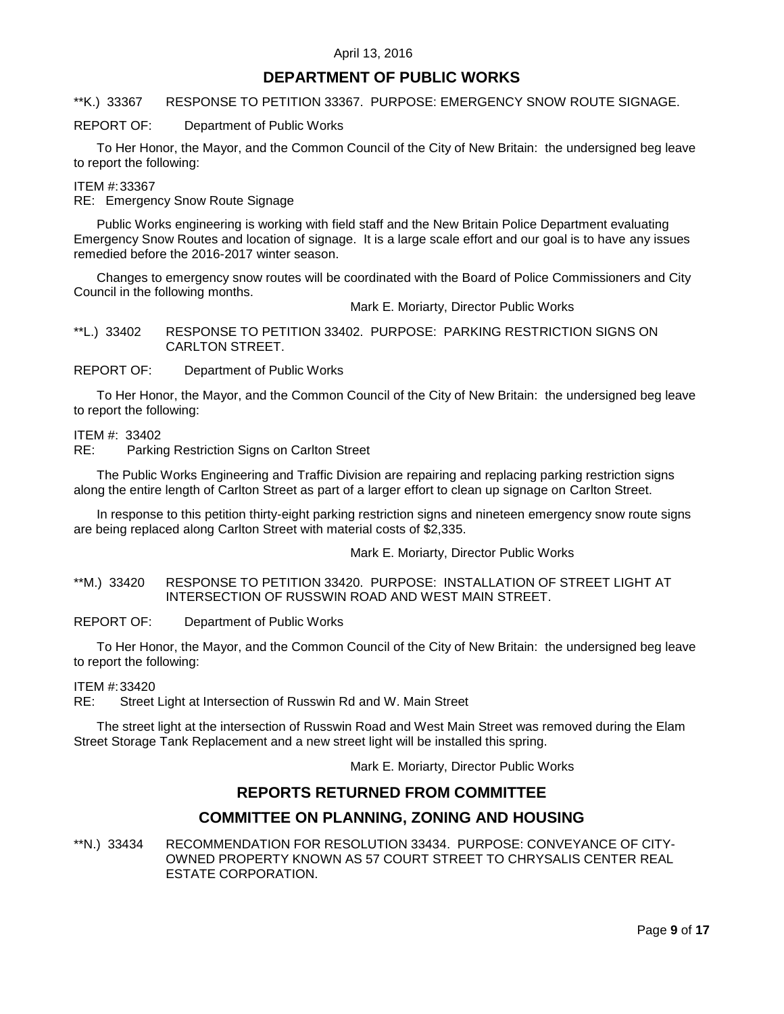# **DEPARTMENT OF PUBLIC WORKS**

<span id="page-8-0"></span>\*\*K.) 33367 RESPONSE TO PETITION 33367. PURPOSE: EMERGENCY SNOW ROUTE SIGNAGE.

REPORT OF: Department of Public Works

To Her Honor, the Mayor, and the Common Council of the City of New Britain: the undersigned beg leave to report the following:

#### ITEM #:33367

RE: Emergency Snow Route Signage

Public Works engineering is working with field staff and the New Britain Police Department evaluating Emergency Snow Routes and location of signage. It is a large scale effort and our goal is to have any issues remedied before the 2016-2017 winter season.

Changes to emergency snow routes will be coordinated with the Board of Police Commissioners and City Council in the following months.

Mark E. Moriarty, Director Public Works

<span id="page-8-1"></span>\*\*L.) 33402 RESPONSE TO PETITION 33402. PURPOSE: PARKING RESTRICTION SIGNS ON CARLTON STREET.

REPORT OF: Department of Public Works

To Her Honor, the Mayor, and the Common Council of the City of New Britain: the undersigned beg leave to report the following:

ITEM #: 33402

RE: Parking Restriction Signs on Carlton Street

The Public Works Engineering and Traffic Division are repairing and replacing parking restriction signs along the entire length of Carlton Street as part of a larger effort to clean up signage on Carlton Street.

In response to this petition thirty-eight parking restriction signs and nineteen emergency snow route signs are being replaced along Carlton Street with material costs of \$2,335.

### Mark E. Moriarty, Director Public Works

<span id="page-8-2"></span>\*\*M.) 33420 RESPONSE TO PETITION 33420. PURPOSE: INSTALLATION OF STREET LIGHT AT INTERSECTION OF RUSSWIN ROAD AND WEST MAIN STREET.

REPORT OF: Department of Public Works

To Her Honor, the Mayor, and the Common Council of the City of New Britain: the undersigned beg leave to report the following:

ITEM #:33420

RE: Street Light at Intersection of Russwin Rd and W. Main Street

The street light at the intersection of Russwin Road and West Main Street was removed during the Elam Street Storage Tank Replacement and a new street light will be installed this spring.

Mark E. Moriarty, Director Public Works

# **REPORTS RETURNED FROM COMMITTEE**

# **COMMITTEE ON PLANNING, ZONING AND HOUSING**

<span id="page-8-3"></span>\*\*N.) 33434 RECOMMENDATION FOR RESOLUTION 33434. PURPOSE: CONVEYANCE OF CITY-OWNED PROPERTY KNOWN AS 57 COURT STREET TO CHRYSALIS CENTER REAL ESTATE CORPORATION.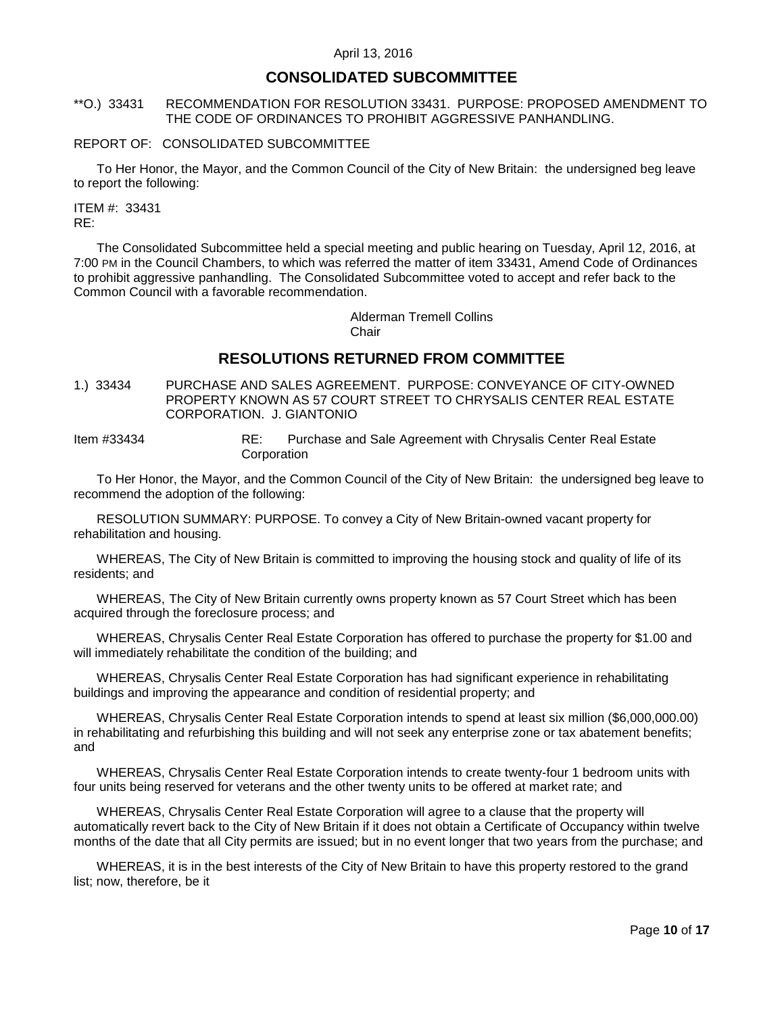# **CONSOLIDATED SUBCOMMITTEE**

### <span id="page-9-0"></span>\*\*O.) 33431 RECOMMENDATION FOR RESOLUTION 33431. PURPOSE: PROPOSED AMENDMENT TO THE CODE OF ORDINANCES TO PROHIBIT AGGRESSIVE PANHANDLING.

#### REPORT OF: CONSOLIDATED SUBCOMMITTEE

To Her Honor, the Mayor, and the Common Council of the City of New Britain: the undersigned beg leave to report the following:

ITEM #: 33431 RE:

The Consolidated Subcommittee held a special meeting and public hearing on Tuesday, April 12, 2016, at 7:00 PM in the Council Chambers, to which was referred the matter of item 33431, Amend Code of Ordinances to prohibit aggressive panhandling. The Consolidated Subcommittee voted to accept and refer back to the Common Council with a favorable recommendation.

> Alderman Tremell Collins Chair

# **RESOLUTIONS RETURNED FROM COMMITTEE**

<span id="page-9-1"></span>1.) 33434 PURCHASE AND SALES AGREEMENT. PURPOSE: CONVEYANCE OF CITY-OWNED PROPERTY KNOWN AS 57 COURT STREET TO CHRYSALIS CENTER REAL ESTATE CORPORATION. J. GIANTONIO

Item #33434 RE: Purchase and Sale Agreement with Chrysalis Center Real Estate Corporation

To Her Honor, the Mayor, and the Common Council of the City of New Britain: the undersigned beg leave to recommend the adoption of the following:

RESOLUTION SUMMARY: PURPOSE. To convey a City of New Britain-owned vacant property for rehabilitation and housing.

WHEREAS, The City of New Britain is committed to improving the housing stock and quality of life of its residents; and

WHEREAS, The City of New Britain currently owns property known as 57 Court Street which has been acquired through the foreclosure process; and

WHEREAS, Chrysalis Center Real Estate Corporation has offered to purchase the property for \$1.00 and will immediately rehabilitate the condition of the building; and

WHEREAS, Chrysalis Center Real Estate Corporation has had significant experience in rehabilitating buildings and improving the appearance and condition of residential property; and

WHEREAS, Chrysalis Center Real Estate Corporation intends to spend at least six million (\$6,000,000.00) in rehabilitating and refurbishing this building and will not seek any enterprise zone or tax abatement benefits; and

WHEREAS, Chrysalis Center Real Estate Corporation intends to create twenty-four 1 bedroom units with four units being reserved for veterans and the other twenty units to be offered at market rate; and

WHEREAS, Chrysalis Center Real Estate Corporation will agree to a clause that the property will automatically revert back to the City of New Britain if it does not obtain a Certificate of Occupancy within twelve months of the date that all City permits are issued; but in no event longer that two years from the purchase; and

WHEREAS, it is in the best interests of the City of New Britain to have this property restored to the grand list; now, therefore, be it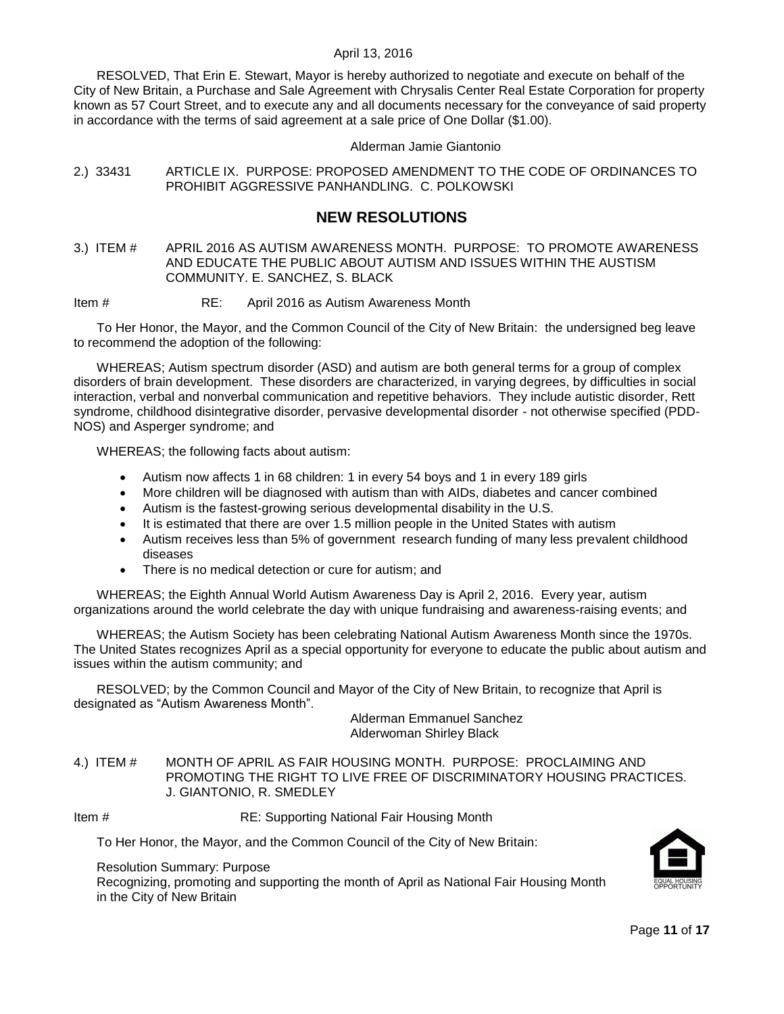RESOLVED, That Erin E. Stewart, Mayor is hereby authorized to negotiate and execute on behalf of the City of New Britain, a Purchase and Sale Agreement with Chrysalis Center Real Estate Corporation for property known as 57 Court Street, and to execute any and all documents necessary for the conveyance of said property in accordance with the terms of said agreement at a sale price of One Dollar (\$1.00).

#### Alderman Jamie Giantonio

<span id="page-10-0"></span>2.) 33431 ARTICLE IX. PURPOSE: PROPOSED AMENDMENT TO THE CODE OF ORDINANCES TO PROHIBIT AGGRESSIVE PANHANDLING. C. POLKOWSKI

## **NEW RESOLUTIONS**

<span id="page-10-1"></span>3.) ITEM # APRIL 2016 AS AUTISM AWARENESS MONTH. PURPOSE: TO PROMOTE AWARENESS AND EDUCATE THE PUBLIC ABOUT AUTISM AND ISSUES WITHIN THE AUSTISM COMMUNITY. E. SANCHEZ, S. BLACK

Item # RE: April 2016 as Autism Awareness Month

To Her Honor, the Mayor, and the Common Council of the City of New Britain: the undersigned beg leave to recommend the adoption of the following:

WHEREAS; Autism spectrum disorder (ASD) and autism are both general terms for a group of complex disorders of brain development. These disorders are characterized, in varying degrees, by difficulties in social interaction, verbal and nonverbal communication and repetitive behaviors. They include autistic disorder, Rett syndrome, childhood disintegrative disorder, pervasive developmental disorder - not otherwise specified (PDD-NOS) and Asperger syndrome; and

WHEREAS; the following facts about autism:

- Autism now affects 1 in 68 children: 1 in every 54 boys and 1 in every 189 girls
- More children will be diagnosed with autism than with AIDs, diabetes and cancer combined
- Autism is the fastest-growing serious developmental disability in the U.S.
- It is estimated that there are over 1.5 million people in the United States with autism
- Autism receives less than 5% of government research funding of many less prevalent childhood diseases
- There is no medical detection or cure for autism; and

WHEREAS; the Eighth Annual World Autism Awareness Day is April 2, 2016. Every year, autism organizations around the world celebrate the day with unique fundraising and awareness-raising events; and

WHEREAS; the Autism Society has been celebrating National Autism Awareness Month since the 1970s. The United States recognizes April as a special opportunity for everyone to educate the public about autism and issues within the autism community; and

RESOLVED; by the Common Council and Mayor of the City of New Britain, to recognize that April is designated as "Autism Awareness Month".

> Alderman Emmanuel Sanchez Alderwoman Shirley Black

<span id="page-10-2"></span>4.) ITEM # MONTH OF APRIL AS FAIR HOUSING MONTH. PURPOSE: PROCLAIMING AND PROMOTING THE RIGHT TO LIVE FREE OF DISCRIMINATORY HOUSING PRACTICES. J. GIANTONIO, R. SMEDLEY

Item # RE: Supporting National Fair Housing Month

To Her Honor, the Mayor, and the Common Council of the City of New Britain:

Resolution Summary: Purpose

Recognizing, promoting and supporting the month of April as National Fair Housing Month in the City of New Britain

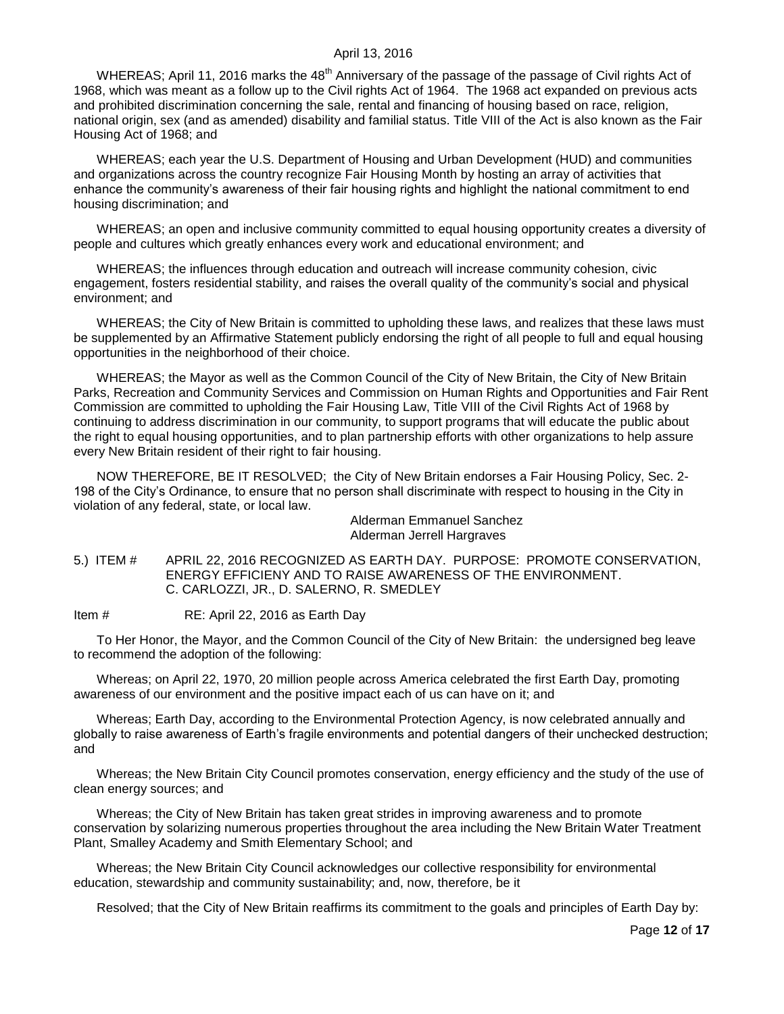WHEREAS; April 11, 2016 marks the 48<sup>th</sup> Anniversary of the passage of the passage of Civil rights Act of 1968, which was meant as a follow up to the Civil rights Act of 1964. The 1968 act expanded on previous acts and prohibited discrimination concerning the sale, rental and financing of housing based on race, religion, national origin, sex (and as amended) disability and familial status. Title VIII of the Act is also known as the Fair Housing Act of 1968; and

WHEREAS; each year the U.S. Department of Housing and Urban Development (HUD) and communities and organizations across the country recognize Fair Housing Month by hosting an array of activities that enhance the community's awareness of their fair housing rights and highlight the national commitment to end housing discrimination; and

WHEREAS; an open and inclusive community committed to equal housing opportunity creates a diversity of people and cultures which greatly enhances every work and educational environment; and

WHEREAS; the influences through education and outreach will increase community cohesion, civic engagement, fosters residential stability, and raises the overall quality of the community's social and physical environment; and

WHEREAS; the City of New Britain is committed to upholding these laws, and realizes that these laws must be supplemented by an Affirmative Statement publicly endorsing the right of all people to full and equal housing opportunities in the neighborhood of their choice.

WHEREAS; the Mayor as well as the Common Council of the City of New Britain, the City of New Britain Parks, Recreation and Community Services and Commission on Human Rights and Opportunities and Fair Rent Commission are committed to upholding the Fair Housing Law, Title VIII of the Civil Rights Act of 1968 by continuing to address discrimination in our community, to support programs that will educate the public about the right to equal housing opportunities, and to plan partnership efforts with other organizations to help assure every New Britain resident of their right to fair housing.

NOW THEREFORE, BE IT RESOLVED; the City of New Britain endorses a Fair Housing Policy, Sec. 2- 198 of the City's Ordinance, to ensure that no person shall discriminate with respect to housing in the City in violation of any federal, state, or local law.

> Alderman Emmanuel Sanchez Alderman Jerrell Hargraves

<span id="page-11-0"></span>5.) ITEM # APRIL 22, 2016 RECOGNIZED AS EARTH DAY. PURPOSE: PROMOTE CONSERVATION, ENERGY EFFICIENY AND TO RAISE AWARENESS OF THE ENVIRONMENT. C. CARLOZZI, JR., D. SALERNO, R. SMEDLEY

Item # RE: April 22, 2016 as Earth Day

To Her Honor, the Mayor, and the Common Council of the City of New Britain: the undersigned beg leave to recommend the adoption of the following:

Whereas; on April 22, 1970, 20 million people across America celebrated the first Earth Day, promoting awareness of our environment and the positive impact each of us can have on it; and

Whereas; Earth Day, according to the Environmental Protection Agency, is now celebrated annually and globally to raise awareness of Earth's fragile environments and potential dangers of their unchecked destruction; and

Whereas; the New Britain City Council promotes conservation, energy efficiency and the study of the use of clean energy sources; and

Whereas; the City of New Britain has taken great strides in improving awareness and to promote conservation by solarizing numerous properties throughout the area including the New Britain Water Treatment Plant, Smalley Academy and Smith Elementary School; and

Whereas; the New Britain City Council acknowledges our collective responsibility for environmental education, stewardship and community sustainability; and, now, therefore, be it

Resolved; that the City of New Britain reaffirms its commitment to the goals and principles of Earth Day by: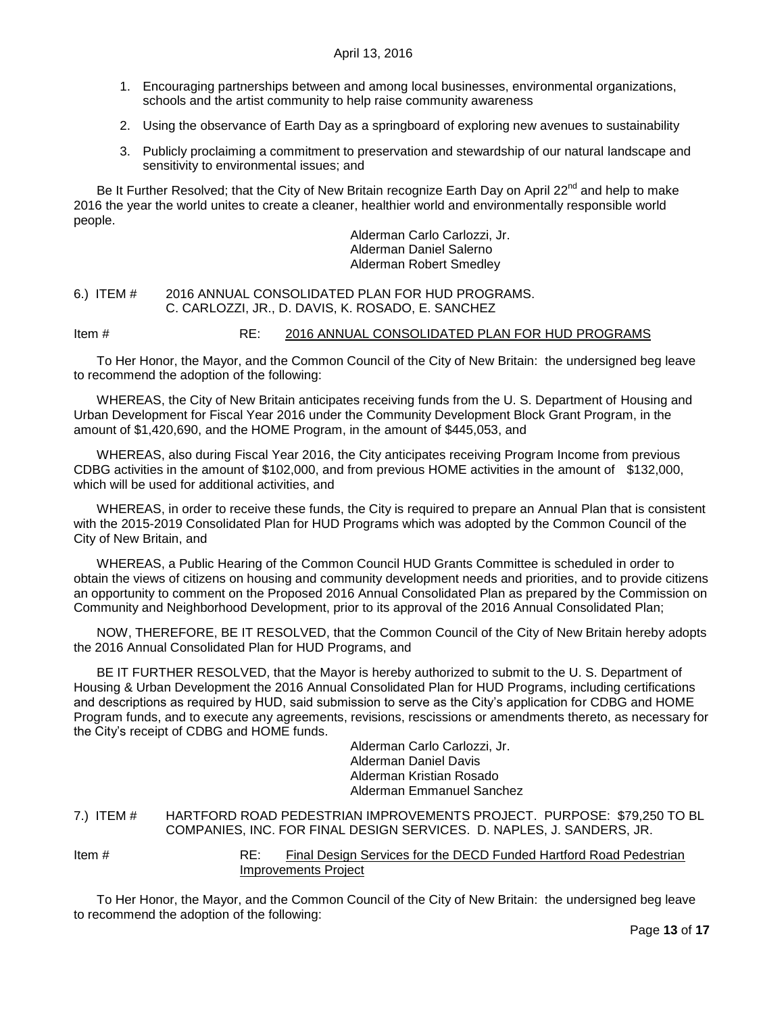- 1. Encouraging partnerships between and among local businesses, environmental organizations, schools and the artist community to help raise community awareness
- 2. Using the observance of Earth Day as a springboard of exploring new avenues to sustainability
- 3. Publicly proclaiming a commitment to preservation and stewardship of our natural landscape and sensitivity to environmental issues; and

Be It Further Resolved; that the City of New Britain recognize Earth Day on April 22<sup>nd</sup> and help to make 2016 the year the world unites to create a cleaner, healthier world and environmentally responsible world people.

> Alderman Carlo Carlozzi, Jr. Alderman Daniel Salerno Alderman Robert Smedley

#### <span id="page-12-0"></span>6.) ITEM # 2016 ANNUAL CONSOLIDATED PLAN FOR HUD PROGRAMS. C. CARLOZZI, JR., D. DAVIS, K. ROSADO, E. SANCHEZ

Item # RE: 2016 ANNUAL CONSOLIDATED PLAN FOR HUD PROGRAMS

To Her Honor, the Mayor, and the Common Council of the City of New Britain: the undersigned beg leave to recommend the adoption of the following:

WHEREAS, the City of New Britain anticipates receiving funds from the U. S. Department of Housing and Urban Development for Fiscal Year 2016 under the Community Development Block Grant Program, in the amount of \$1,420,690, and the HOME Program, in the amount of \$445,053, and

WHEREAS, also during Fiscal Year 2016, the City anticipates receiving Program Income from previous CDBG activities in the amount of \$102,000, and from previous HOME activities in the amount of \$132,000, which will be used for additional activities, and

WHEREAS, in order to receive these funds, the City is required to prepare an Annual Plan that is consistent with the 2015-2019 Consolidated Plan for HUD Programs which was adopted by the Common Council of the City of New Britain, and

WHEREAS, a Public Hearing of the Common Council HUD Grants Committee is scheduled in order to obtain the views of citizens on housing and community development needs and priorities, and to provide citizens an opportunity to comment on the Proposed 2016 Annual Consolidated Plan as prepared by the Commission on Community and Neighborhood Development, prior to its approval of the 2016 Annual Consolidated Plan;

NOW, THEREFORE, BE IT RESOLVED, that the Common Council of the City of New Britain hereby adopts the 2016 Annual Consolidated Plan for HUD Programs, and

BE IT FURTHER RESOLVED, that the Mayor is hereby authorized to submit to the U. S. Department of Housing & Urban Development the 2016 Annual Consolidated Plan for HUD Programs, including certifications and descriptions as required by HUD, said submission to serve as the City's application for CDBG and HOME Program funds, and to execute any agreements, revisions, rescissions or amendments thereto, as necessary for the City's receipt of CDBG and HOME funds.

> Alderman Carlo Carlozzi, Jr. Alderman Daniel Davis Alderman Kristian Rosado Alderman Emmanuel Sanchez

<span id="page-12-1"></span>7.) ITEM # HARTFORD ROAD PEDESTRIAN IMPROVEMENTS PROJECT. PURPOSE: \$79,250 TO BL COMPANIES, INC. FOR FINAL DESIGN SERVICES. D. NAPLES, J. SANDERS, JR.

Item # RE: Final Design Services for the DECD Funded Hartford Road Pedestrian Improvements Project

To Her Honor, the Mayor, and the Common Council of the City of New Britain: the undersigned beg leave to recommend the adoption of the following: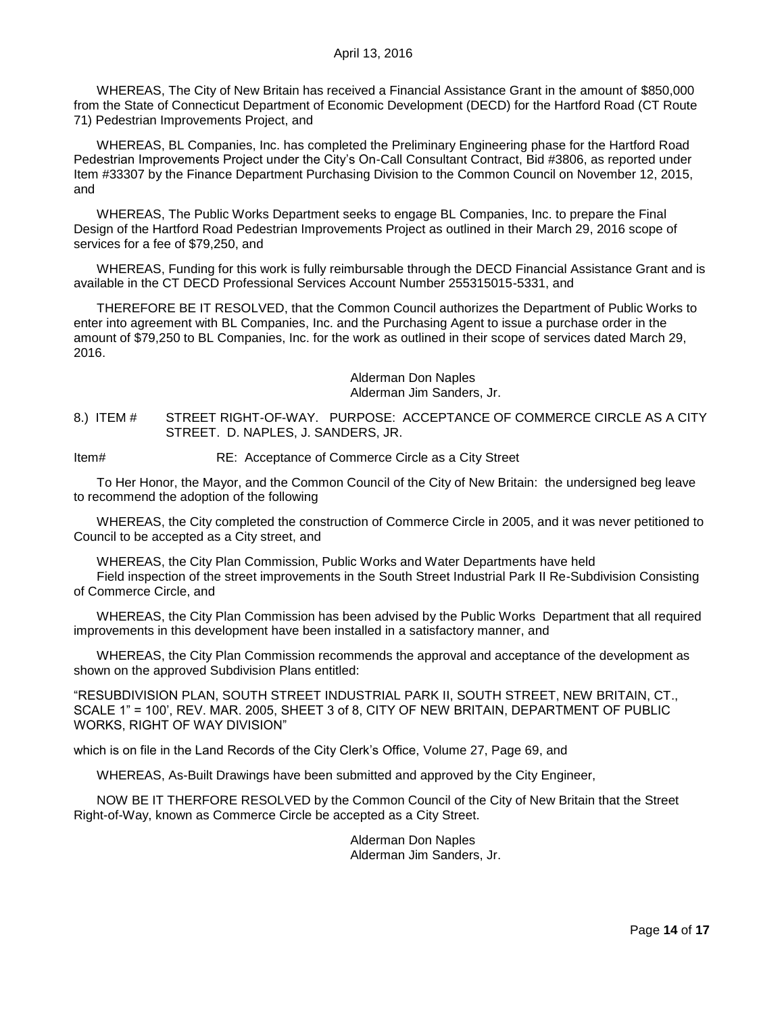WHEREAS, The City of New Britain has received a Financial Assistance Grant in the amount of \$850,000 from the State of Connecticut Department of Economic Development (DECD) for the Hartford Road (CT Route 71) Pedestrian Improvements Project, and

WHEREAS, BL Companies, Inc. has completed the Preliminary Engineering phase for the Hartford Road Pedestrian Improvements Project under the City's On-Call Consultant Contract, Bid #3806, as reported under Item #33307 by the Finance Department Purchasing Division to the Common Council on November 12, 2015, and

WHEREAS, The Public Works Department seeks to engage BL Companies, Inc. to prepare the Final Design of the Hartford Road Pedestrian Improvements Project as outlined in their March 29, 2016 scope of services for a fee of \$79,250, and

WHEREAS, Funding for this work is fully reimbursable through the DECD Financial Assistance Grant and is available in the CT DECD Professional Services Account Number 255315015-5331, and

THEREFORE BE IT RESOLVED, that the Common Council authorizes the Department of Public Works to enter into agreement with BL Companies, Inc. and the Purchasing Agent to issue a purchase order in the amount of \$79,250 to BL Companies, Inc. for the work as outlined in their scope of services dated March 29, 2016.

> Alderman Don Naples Alderman Jim Sanders, Jr.

<span id="page-13-0"></span>8.) ITEM # STREET RIGHT-OF-WAY. PURPOSE: ACCEPTANCE OF COMMERCE CIRCLE AS A CITY STREET. D. NAPLES, J. SANDERS, JR.

Item# RE: Acceptance of Commerce Circle as a City Street

To Her Honor, the Mayor, and the Common Council of the City of New Britain: the undersigned beg leave to recommend the adoption of the following

WHEREAS, the City completed the construction of Commerce Circle in 2005, and it was never petitioned to Council to be accepted as a City street, and

WHEREAS, the City Plan Commission, Public Works and Water Departments have held

Field inspection of the street improvements in the South Street Industrial Park II Re-Subdivision Consisting of Commerce Circle, and

WHEREAS, the City Plan Commission has been advised by the Public Works Department that all required improvements in this development have been installed in a satisfactory manner, and

WHEREAS, the City Plan Commission recommends the approval and acceptance of the development as shown on the approved Subdivision Plans entitled:

"RESUBDIVISION PLAN, SOUTH STREET INDUSTRIAL PARK II, SOUTH STREET, NEW BRITAIN, CT., SCALE 1" = 100', REV. MAR. 2005, SHEET 3 of 8, CITY OF NEW BRITAIN, DEPARTMENT OF PUBLIC WORKS, RIGHT OF WAY DIVISION"

which is on file in the Land Records of the City Clerk's Office, Volume 27, Page 69, and

WHEREAS, As-Built Drawings have been submitted and approved by the City Engineer,

NOW BE IT THERFORE RESOLVED by the Common Council of the City of New Britain that the Street Right-of-Way, known as Commerce Circle be accepted as a City Street.

> Alderman Don Naples Alderman Jim Sanders, Jr.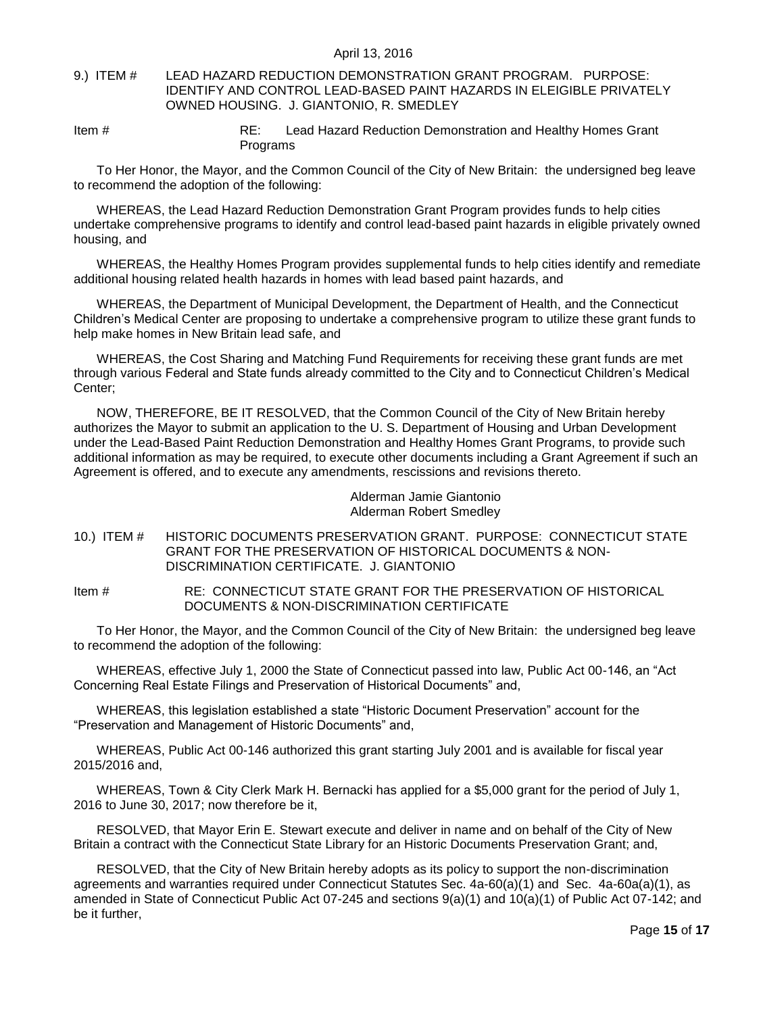### <span id="page-14-0"></span>9.) ITEM # LEAD HAZARD REDUCTION DEMONSTRATION GRANT PROGRAM. PURPOSE: IDENTIFY AND CONTROL LEAD-BASED PAINT HAZARDS IN ELEIGIBLE PRIVATELY OWNED HOUSING. J. GIANTONIO, R. SMEDLEY

Item # RE: Lead Hazard Reduction Demonstration and Healthy Homes Grant Programs

To Her Honor, the Mayor, and the Common Council of the City of New Britain: the undersigned beg leave to recommend the adoption of the following:

WHEREAS, the Lead Hazard Reduction Demonstration Grant Program provides funds to help cities undertake comprehensive programs to identify and control lead-based paint hazards in eligible privately owned housing, and

WHEREAS, the Healthy Homes Program provides supplemental funds to help cities identify and remediate additional housing related health hazards in homes with lead based paint hazards, and

WHEREAS, the Department of Municipal Development, the Department of Health, and the Connecticut Children's Medical Center are proposing to undertake a comprehensive program to utilize these grant funds to help make homes in New Britain lead safe, and

WHEREAS, the Cost Sharing and Matching Fund Requirements for receiving these grant funds are met through various Federal and State funds already committed to the City and to Connecticut Children's Medical Center;

NOW, THEREFORE, BE IT RESOLVED, that the Common Council of the City of New Britain hereby authorizes the Mayor to submit an application to the U. S. Department of Housing and Urban Development under the Lead-Based Paint Reduction Demonstration and Healthy Homes Grant Programs, to provide such additional information as may be required, to execute other documents including a Grant Agreement if such an Agreement is offered, and to execute any amendments, rescissions and revisions thereto.

> Alderman Jamie Giantonio Alderman Robert Smedley

<span id="page-14-1"></span>10.) ITEM # HISTORIC DOCUMENTS PRESERVATION GRANT. PURPOSE: CONNECTICUT STATE GRANT FOR THE PRESERVATION OF HISTORICAL DOCUMENTS & NON-DISCRIMINATION CERTIFICATE. J. GIANTONIO

Item # RE: CONNECTICUT STATE GRANT FOR THE PRESERVATION OF HISTORICAL DOCUMENTS & NON-DISCRIMINATION CERTIFICATE

To Her Honor, the Mayor, and the Common Council of the City of New Britain: the undersigned beg leave to recommend the adoption of the following:

WHEREAS, effective July 1, 2000 the State of Connecticut passed into law, Public Act 00-146, an "Act Concerning Real Estate Filings and Preservation of Historical Documents" and,

WHEREAS, this legislation established a state "Historic Document Preservation" account for the "Preservation and Management of Historic Documents" and,

WHEREAS, Public Act 00-146 authorized this grant starting July 2001 and is available for fiscal year 2015/2016 and,

WHEREAS, Town & City Clerk Mark H. Bernacki has applied for a \$5,000 grant for the period of July 1, 2016 to June 30, 2017; now therefore be it,

RESOLVED, that Mayor Erin E. Stewart execute and deliver in name and on behalf of the City of New Britain a contract with the Connecticut State Library for an Historic Documents Preservation Grant; and,

RESOLVED, that the City of New Britain hereby adopts as its policy to support the non-discrimination agreements and warranties required under Connecticut Statutes Sec. 4a-60(a)(1) and Sec. 4a-60a(a)(1), as amended in State of Connecticut Public Act 07-245 and sections 9(a)(1) and 10(a)(1) of Public Act 07-142; and be it further,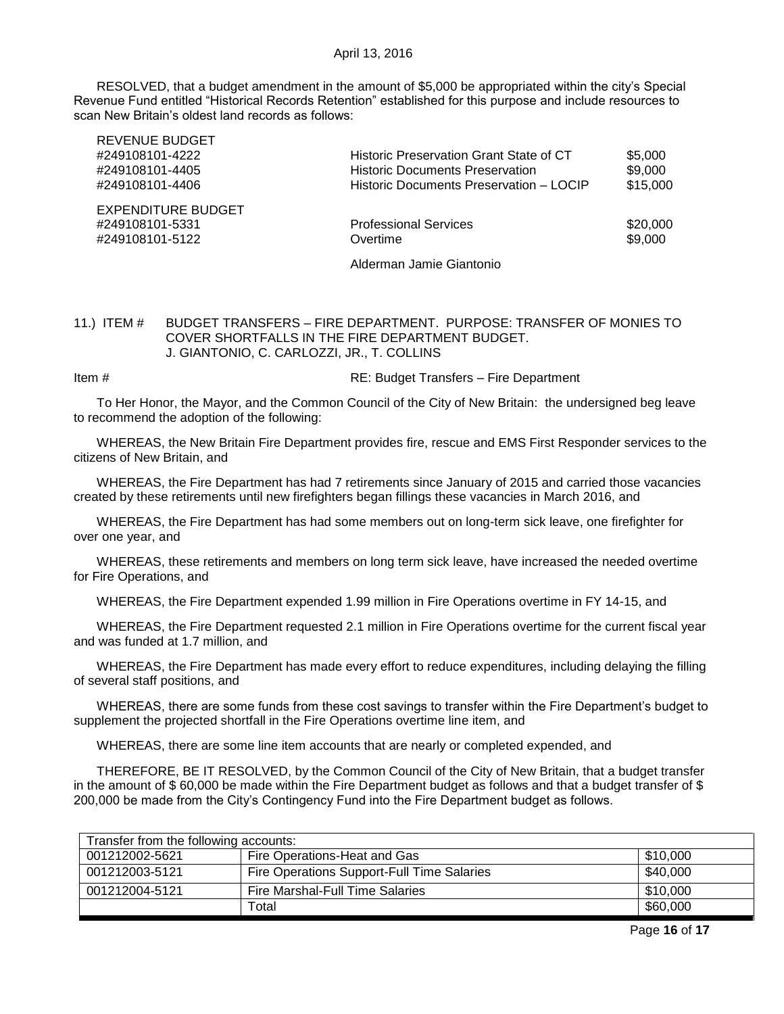RESOLVED, that a budget amendment in the amount of \$5,000 be appropriated within the city's Special Revenue Fund entitled "Historical Records Retention" established for this purpose and include resources to scan New Britain's oldest land records as follows:

| ILL VEINUE DUDUET         |                                         |          |
|---------------------------|-----------------------------------------|----------|
| #249108101-4222           | Historic Preservation Grant State of CT | \$5,000  |
| #249108101-4405           | <b>Historic Documents Preservation</b>  | \$9,000  |
| #249108101-4406           | Historic Documents Preservation - LOCIP | \$15,000 |
| <b>EXPENDITURE BUDGET</b> |                                         |          |
| #249108101-5331           | <b>Professional Services</b>            | \$20,000 |
| #249108101-5122           | Overtime                                | \$9,000  |
|                           | Alderman Jamie Giantonio                |          |

### <span id="page-15-0"></span>11.) ITEM # BUDGET TRANSFERS – FIRE DEPARTMENT. PURPOSE: TRANSFER OF MONIES TO COVER SHORTFALLS IN THE FIRE DEPARTMENT BUDGET. J. GIANTONIO, C. CARLOZZI, JR., T. COLLINS

Item # RE: Budget Transfers – Fire Department

REVENUE BUDGET

To Her Honor, the Mayor, and the Common Council of the City of New Britain: the undersigned beg leave to recommend the adoption of the following:

WHEREAS, the New Britain Fire Department provides fire, rescue and EMS First Responder services to the citizens of New Britain, and

WHEREAS, the Fire Department has had 7 retirements since January of 2015 and carried those vacancies created by these retirements until new firefighters began fillings these vacancies in March 2016, and

WHEREAS, the Fire Department has had some members out on long-term sick leave, one firefighter for over one year, and

WHEREAS, these retirements and members on long term sick leave, have increased the needed overtime for Fire Operations, and

WHEREAS, the Fire Department expended 1.99 million in Fire Operations overtime in FY 14-15, and

WHEREAS, the Fire Department requested 2.1 million in Fire Operations overtime for the current fiscal year and was funded at 1.7 million, and

WHEREAS, the Fire Department has made every effort to reduce expenditures, including delaying the filling of several staff positions, and

WHEREAS, there are some funds from these cost savings to transfer within the Fire Department's budget to supplement the projected shortfall in the Fire Operations overtime line item, and

WHEREAS, there are some line item accounts that are nearly or completed expended, and

THEREFORE, BE IT RESOLVED, by the Common Council of the City of New Britain, that a budget transfer in the amount of \$ 60,000 be made within the Fire Department budget as follows and that a budget transfer of \$ 200,000 be made from the City's Contingency Fund into the Fire Department budget as follows.

| Transfer from the following accounts: |                |                                            |          |
|---------------------------------------|----------------|--------------------------------------------|----------|
|                                       | 001212002-5621 | Fire Operations-Heat and Gas               | \$10,000 |
|                                       | 001212003-5121 | Fire Operations Support-Full Time Salaries | \$40,000 |
|                                       | 001212004-5121 | Fire Marshal-Full Time Salaries            | \$10,000 |
|                                       |                | $\tau$ otal                                | \$60,000 |